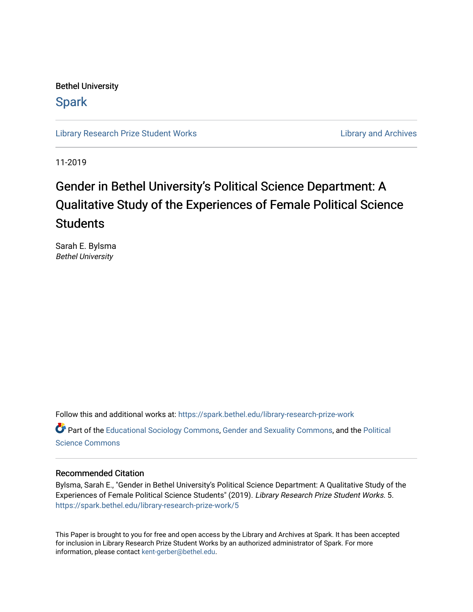Bethel University

# **Spark**

[Library Research Prize Student Works](https://spark.bethel.edu/library-research-prize-work) **Library Access 2018** Library and Archives

11-2019

# Gender in Bethel University's Political Science Department: A Qualitative Study of the Experiences of Female Political Science **Students**

Sarah E. Bylsma Bethel University

Follow this and additional works at: [https://spark.bethel.edu/library-research-prize-work](https://spark.bethel.edu/library-research-prize-work?utm_source=spark.bethel.edu%2Flibrary-research-prize-work%2F5&utm_medium=PDF&utm_campaign=PDFCoverPages)  Part of the [Educational Sociology Commons,](http://network.bepress.com/hgg/discipline/1071?utm_source=spark.bethel.edu%2Flibrary-research-prize-work%2F5&utm_medium=PDF&utm_campaign=PDFCoverPages) [Gender and Sexuality Commons](http://network.bepress.com/hgg/discipline/420?utm_source=spark.bethel.edu%2Flibrary-research-prize-work%2F5&utm_medium=PDF&utm_campaign=PDFCoverPages), and the [Political](http://network.bepress.com/hgg/discipline/386?utm_source=spark.bethel.edu%2Flibrary-research-prize-work%2F5&utm_medium=PDF&utm_campaign=PDFCoverPages) [Science Commons](http://network.bepress.com/hgg/discipline/386?utm_source=spark.bethel.edu%2Flibrary-research-prize-work%2F5&utm_medium=PDF&utm_campaign=PDFCoverPages) 

#### Recommended Citation

Bylsma, Sarah E., "Gender in Bethel University's Political Science Department: A Qualitative Study of the Experiences of Female Political Science Students" (2019). Library Research Prize Student Works. 5. [https://spark.bethel.edu/library-research-prize-work/5](https://spark.bethel.edu/library-research-prize-work/5?utm_source=spark.bethel.edu%2Flibrary-research-prize-work%2F5&utm_medium=PDF&utm_campaign=PDFCoverPages)

This Paper is brought to you for free and open access by the Library and Archives at Spark. It has been accepted for inclusion in Library Research Prize Student Works by an authorized administrator of Spark. For more information, please contact [kent-gerber@bethel.edu.](mailto:kent-gerber@bethel.edu)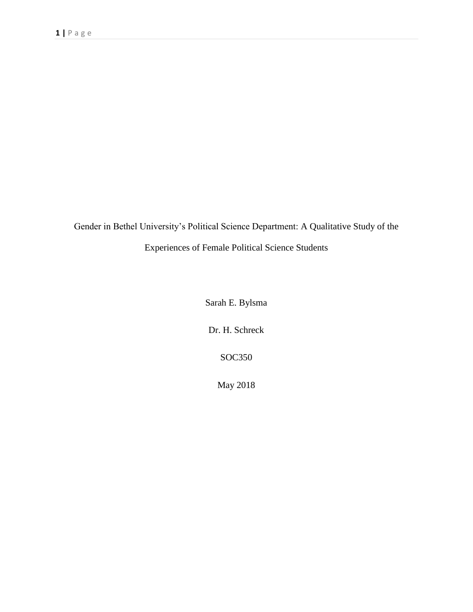Gender in Bethel University's Political Science Department: A Qualitative Study of the Experiences of Female Political Science Students

Sarah E. Bylsma

Dr. H. Schreck

SOC350

May 2018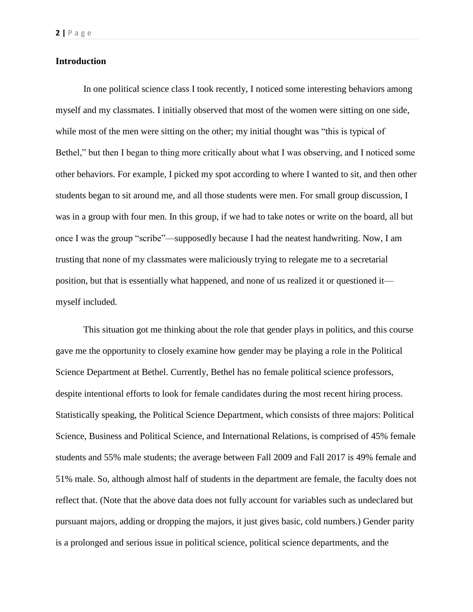# **Introduction**

In one political science class I took recently, I noticed some interesting behaviors among myself and my classmates. I initially observed that most of the women were sitting on one side, while most of the men were sitting on the other; my initial thought was "this is typical of Bethel," but then I began to thing more critically about what I was observing, and I noticed some other behaviors. For example, I picked my spot according to where I wanted to sit, and then other students began to sit around me, and all those students were men. For small group discussion, I was in a group with four men. In this group, if we had to take notes or write on the board, all but once I was the group "scribe"—supposedly because I had the neatest handwriting. Now, I am trusting that none of my classmates were maliciously trying to relegate me to a secretarial position, but that is essentially what happened, and none of us realized it or questioned it myself included.

This situation got me thinking about the role that gender plays in politics, and this course gave me the opportunity to closely examine how gender may be playing a role in the Political Science Department at Bethel. Currently, Bethel has no female political science professors, despite intentional efforts to look for female candidates during the most recent hiring process. Statistically speaking, the Political Science Department, which consists of three majors: Political Science, Business and Political Science, and International Relations, is comprised of 45% female students and 55% male students; the average between Fall 2009 and Fall 2017 is 49% female and 51% male. So, although almost half of students in the department are female, the faculty does not reflect that. (Note that the above data does not fully account for variables such as undeclared but pursuant majors, adding or dropping the majors, it just gives basic, cold numbers.) Gender parity is a prolonged and serious issue in political science, political science departments, and the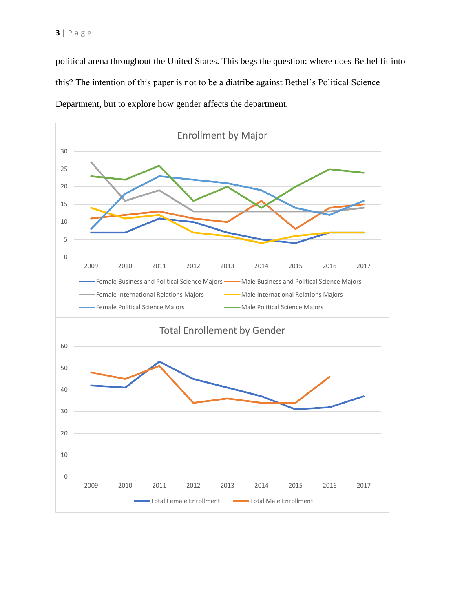political arena throughout the United States. This begs the question: where does Bethel fit into this? The intention of this paper is not to be a diatribe against Bethel's Political Science Department, but to explore how gender affects the department.

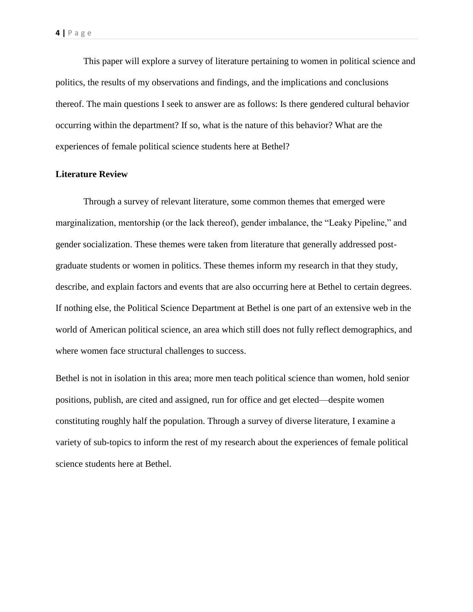This paper will explore a survey of literature pertaining to women in political science and politics, the results of my observations and findings, and the implications and conclusions thereof. The main questions I seek to answer are as follows: Is there gendered cultural behavior occurring within the department? If so, what is the nature of this behavior? What are the experiences of female political science students here at Bethel?

# **Literature Review**

Through a survey of relevant literature, some common themes that emerged were marginalization, mentorship (or the lack thereof), gender imbalance, the "Leaky Pipeline," and gender socialization. These themes were taken from literature that generally addressed postgraduate students or women in politics. These themes inform my research in that they study, describe, and explain factors and events that are also occurring here at Bethel to certain degrees. If nothing else, the Political Science Department at Bethel is one part of an extensive web in the world of American political science, an area which still does not fully reflect demographics, and where women face structural challenges to success.

Bethel is not in isolation in this area; more men teach political science than women, hold senior positions, publish, are cited and assigned, run for office and get elected—despite women constituting roughly half the population. Through a survey of diverse literature, I examine a variety of sub-topics to inform the rest of my research about the experiences of female political science students here at Bethel.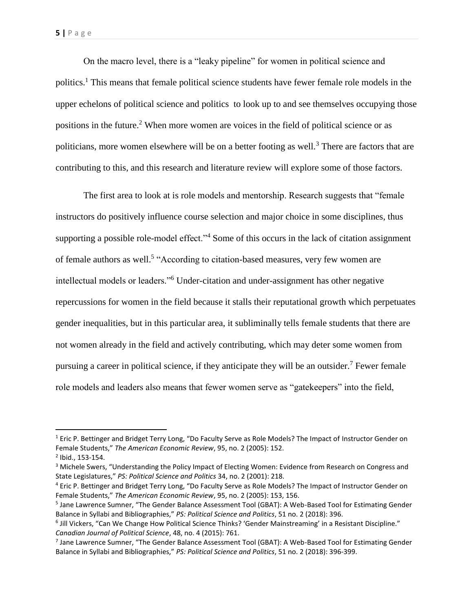On the macro level, there is a "leaky pipeline" for women in political science and politics.<sup>1</sup> This means that female political science students have fewer female role models in the upper echelons of political science and politics to look up to and see themselves occupying those positions in the future.<sup>2</sup> When more women are voices in the field of political science or as politicians, more women elsewhere will be on a better footing as well.<sup>3</sup> There are factors that are contributing to this, and this research and literature review will explore some of those factors.

The first area to look at is role models and mentorship. Research suggests that "female instructors do positively influence course selection and major choice in some disciplines, thus supporting a possible role-model effect."<sup>4</sup> Some of this occurs in the lack of citation assignment of female authors as well.<sup>5</sup> "According to citation-based measures, very few women are intellectual models or leaders."<sup>6</sup> Under-citation and under-assignment has other negative repercussions for women in the field because it stalls their reputational growth which perpetuates gender inequalities, but in this particular area, it subliminally tells female students that there are not women already in the field and actively contributing, which may deter some women from pursuing a career in political science, if they anticipate they will be an outsider.<sup>7</sup> Fewer female role models and leaders also means that fewer women serve as "gatekeepers" into the field,

 $\overline{\phantom{a}}$ 

 $1$  Eric P. Bettinger and Bridget Terry Long, "Do Faculty Serve as Role Models? The Impact of Instructor Gender on Female Students," *The American Economic Review*, 95, no. 2 (2005): 152.

<sup>2</sup> Ibid., 153-154.

<sup>&</sup>lt;sup>3</sup> Michele Swers, "Understanding the Policy Impact of Electing Women: Evidence from Research on Congress and State Legislatures," *PS: Political Science and Politics* 34, no. 2 (2001): 218.

<sup>4</sup> Eric P. Bettinger and Bridget Terry Long, "Do Faculty Serve as Role Models? The Impact of Instructor Gender on Female Students," *The American Economic Review*, 95, no. 2 (2005): 153, 156.

<sup>&</sup>lt;sup>5</sup> Jane Lawrence Sumner, "The Gender Balance Assessment Tool (GBAT): A Web-Based Tool for Estimating Gender Balance in Syllabi and Bibliographies," *PS: Political Science and Politics*, 51 no. 2 (2018): 396.

<sup>&</sup>lt;sup>6</sup> Jill Vickers, "Can We Change How Political Science Thinks? 'Gender Mainstreaming' in a Resistant Discipline." *Canadian Journal of Political Science*, 48, no. 4 (2015): 761.

<sup>&</sup>lt;sup>7</sup> Jane Lawrence Sumner, "The Gender Balance Assessment Tool (GBAT): A Web-Based Tool for Estimating Gender Balance in Syllabi and Bibliographies," *PS: Political Science and Politics*, 51 no. 2 (2018): 396-399.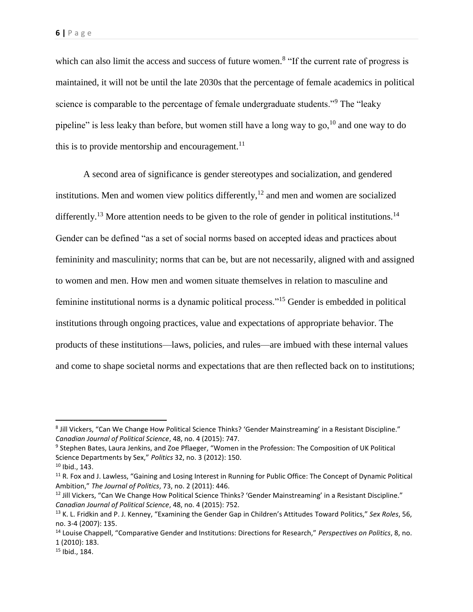which can also limit the access and success of future women.<sup>8</sup> "If the current rate of progress is maintained, it will not be until the late 2030s that the percentage of female academics in political science is comparable to the percentage of female undergraduate students."<sup>9</sup> The "leaky" pipeline" is less leaky than before, but women still have a long way to go,  $^{10}$  and one way to do this is to provide mentorship and encouragement.<sup>11</sup>

A second area of significance is gender stereotypes and socialization, and gendered institutions. Men and women view politics differently, $12$  and men and women are socialized differently.<sup>13</sup> More attention needs to be given to the role of gender in political institutions.<sup>14</sup> Gender can be defined "as a set of social norms based on accepted ideas and practices about femininity and masculinity; norms that can be, but are not necessarily, aligned with and assigned to women and men. How men and women situate themselves in relation to masculine and feminine institutional norms is a dynamic political process."<sup>15</sup> Gender is embedded in political institutions through ongoing practices, value and expectations of appropriate behavior. The products of these institutions—laws, policies, and rules—are imbued with these internal values and come to shape societal norms and expectations that are then reflected back on to institutions;

 $10$  Ibid., 143.

 $\overline{\phantom{a}}$ 

<sup>8</sup> Jill Vickers, "Can We Change How Political Science Thinks? 'Gender Mainstreaming' in a Resistant Discipline." *Canadian Journal of Political Science*, 48, no. 4 (2015): 747.

<sup>&</sup>lt;sup>9</sup> Stephen Bates, Laura Jenkins, and Zoe Pflaeger, "Women in the Profession: The Composition of UK Political Science Departments by Sex," *Politics* 32, no. 3 (2012): 150.

<sup>&</sup>lt;sup>11</sup> R. Fox and J. Lawless, "Gaining and Losing Interest in Running for Public Office: The Concept of Dynamic Political Ambition," *The Journal of Politics*, 73, no. 2 (2011): 446.

<sup>&</sup>lt;sup>12</sup> Jill Vickers, "Can We Change How Political Science Thinks? 'Gender Mainstreaming' in a Resistant Discipline." *Canadian Journal of Political Science*, 48, no. 4 (2015): 752.

<sup>13</sup> K. L. Fridkin and P. J. Kenney, "Examining the Gender Gap in Children's Attitudes Toward Politics," *Sex Roles*, 56, no. 3-4 (2007): 135.

<sup>14</sup> Louise Chappell, "Comparative Gender and Institutions: Directions for Research," *Perspectives on Politics*, 8, no. 1 (2010): 183.

<sup>15</sup> Ibid., 184.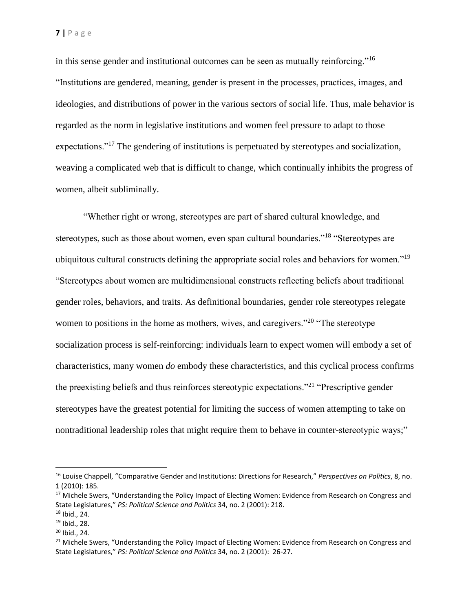in this sense gender and institutional outcomes can be seen as mutually reinforcing."<sup>16</sup> "Institutions are gendered, meaning, gender is present in the processes, practices, images, and ideologies, and distributions of power in the various sectors of social life. Thus, male behavior is regarded as the norm in legislative institutions and women feel pressure to adapt to those expectations."<sup>17</sup> The gendering of institutions is perpetuated by stereotypes and socialization, weaving a complicated web that is difficult to change, which continually inhibits the progress of women, albeit subliminally.

"Whether right or wrong, stereotypes are part of shared cultural knowledge, and stereotypes, such as those about women, even span cultural boundaries."<sup>18</sup> "Stereotypes are ubiquitous cultural constructs defining the appropriate social roles and behaviors for women."<sup>19</sup> "Stereotypes about women are multidimensional constructs reflecting beliefs about traditional gender roles, behaviors, and traits. As definitional boundaries, gender role stereotypes relegate women to positions in the home as mothers, wives, and caregivers."<sup>20</sup> "The stereotype socialization process is self-reinforcing: individuals learn to expect women will embody a set of characteristics, many women *do* embody these characteristics, and this cyclical process confirms the preexisting beliefs and thus reinforces stereotypic expectations."<sup>21</sup> "Prescriptive gender stereotypes have the greatest potential for limiting the success of women attempting to take on nontraditional leadership roles that might require them to behave in counter-stereotypic ways;"

 $\overline{\phantom{a}}$ 

<sup>16</sup> Louise Chappell, "Comparative Gender and Institutions: Directions for Research," *Perspectives on Politics*, 8, no. 1 (2010): 185.

<sup>&</sup>lt;sup>17</sup> Michele Swers, "Understanding the Policy Impact of Electing Women: Evidence from Research on Congress and State Legislatures," *PS: Political Science and Politics* 34, no. 2 (2001): 218.

<sup>18</sup> Ibid., 24.

<sup>19</sup> Ibid., 28.

 $20$  Ibid., 24.

<sup>&</sup>lt;sup>21</sup> Michele Swers, "Understanding the Policy Impact of Electing Women: Evidence from Research on Congress and State Legislatures," *PS: Political Science and Politics* 34, no. 2 (2001): 26-27.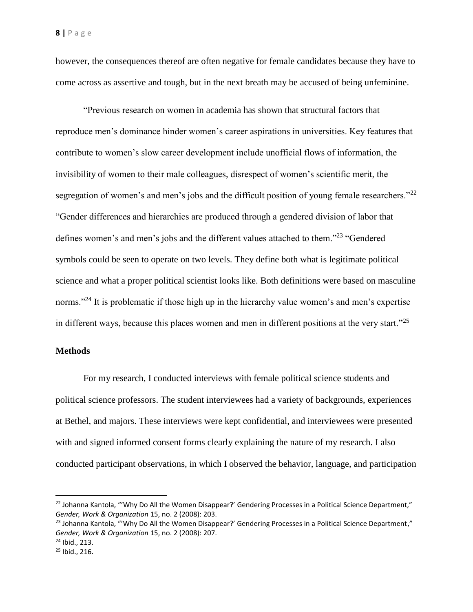however, the consequences thereof are often negative for female candidates because they have to come across as assertive and tough, but in the next breath may be accused of being unfeminine.

"Previous research on women in academia has shown that structural factors that reproduce men's dominance hinder women's career aspirations in universities. Key features that contribute to women's slow career development include unofficial flows of information, the invisibility of women to their male colleagues, disrespect of women's scientific merit, the segregation of women's and men's jobs and the difficult position of young female researchers."<sup>22</sup> "Gender differences and hierarchies are produced through a gendered division of labor that defines women's and men's jobs and the different values attached to them."<sup>23</sup> "Gendered symbols could be seen to operate on two levels. They define both what is legitimate political science and what a proper political scientist looks like. Both definitions were based on masculine norms."<sup>24</sup> It is problematic if those high up in the hierarchy value women's and men's expertise in different ways, because this places women and men in different positions at the very start."<sup>25</sup>

#### **Methods**

For my research, I conducted interviews with female political science students and political science professors. The student interviewees had a variety of backgrounds, experiences at Bethel, and majors. These interviews were kept confidential, and interviewees were presented with and signed informed consent forms clearly explaining the nature of my research. I also conducted participant observations, in which I observed the behavior, language, and participation

l

<sup>&</sup>lt;sup>22</sup> Johanna Kantola, "'Why Do All the Women Disappear?' Gendering Processes in a Political Science Department," *Gender, Work & Organization* 15, no. 2 (2008): 203.

<sup>&</sup>lt;sup>23</sup> Johanna Kantola, "'Why Do All the Women Disappear?' Gendering Processes in a Political Science Department," *Gender, Work & Organization* 15, no. 2 (2008): 207.

<sup>24</sup> Ibid., 213.

<sup>25</sup> Ibid., 216.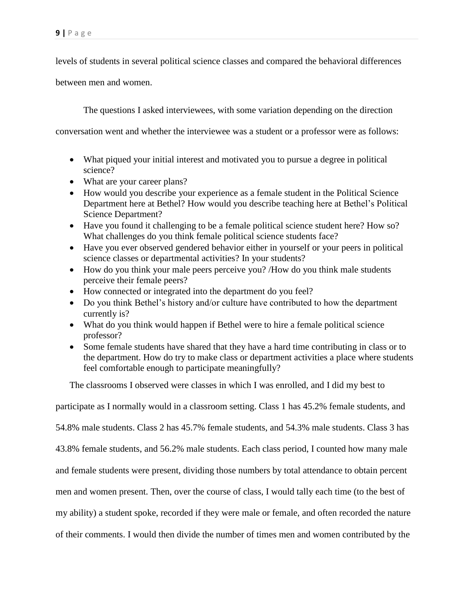levels of students in several political science classes and compared the behavioral differences

between men and women.

The questions I asked interviewees, with some variation depending on the direction

conversation went and whether the interviewee was a student or a professor were as follows:

- What piqued your initial interest and motivated you to pursue a degree in political science?
- What are your career plans?
- How would you describe your experience as a female student in the Political Science Department here at Bethel? How would you describe teaching here at Bethel's Political Science Department?
- Have you found it challenging to be a female political science student here? How so? What challenges do you think female political science students face?
- Have you ever observed gendered behavior either in yourself or your peers in political science classes or departmental activities? In your students?
- How do you think your male peers perceive you? /How do you think male students perceive their female peers?
- How connected or integrated into the department do you feel?
- Do you think Bethel's history and/or culture have contributed to how the department currently is?
- What do you think would happen if Bethel were to hire a female political science professor?
- Some female students have shared that they have a hard time contributing in class or to the department. How do try to make class or department activities a place where students feel comfortable enough to participate meaningfully?

The classrooms I observed were classes in which I was enrolled, and I did my best to

participate as I normally would in a classroom setting. Class 1 has 45.2% female students, and

54.8% male students. Class 2 has 45.7% female students, and 54.3% male students. Class 3 has

43.8% female students, and 56.2% male students. Each class period, I counted how many male

and female students were present, dividing those numbers by total attendance to obtain percent

men and women present. Then, over the course of class, I would tally each time (to the best of

my ability) a student spoke, recorded if they were male or female, and often recorded the nature

of their comments. I would then divide the number of times men and women contributed by the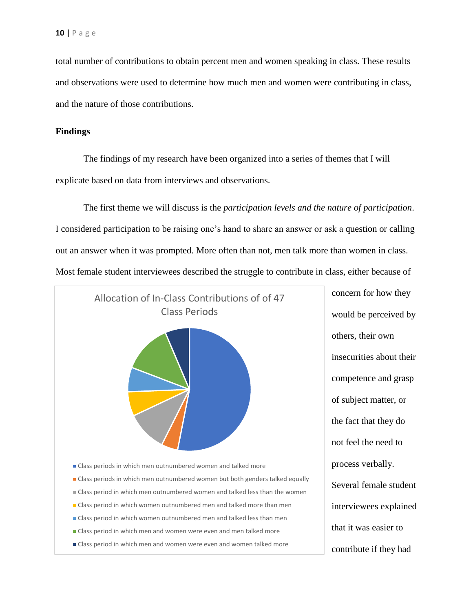total number of contributions to obtain percent men and women speaking in class. These results and observations were used to determine how much men and women were contributing in class, and the nature of those contributions.

#### **Findings**

The findings of my research have been organized into a series of themes that I will explicate based on data from interviews and observations.

The first theme we will discuss is the *participation levels and the nature of participation*. I considered participation to be raising one's hand to share an answer or ask a question or calling out an answer when it was prompted. More often than not, men talk more than women in class. Most female student interviewees described the struggle to contribute in class, either because of



concern for how they would be perceived by others, their own insecurities about their competence and grasp of subject matter, or the fact that they do not feel the need to process verbally. Several female student interviewees explained that it was easier to contribute if they had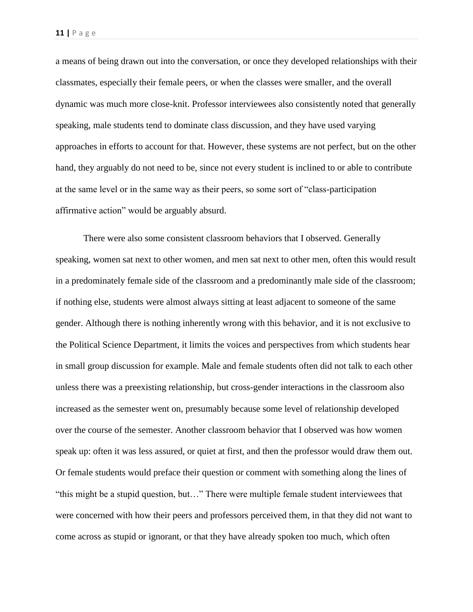a means of being drawn out into the conversation, or once they developed relationships with their classmates, especially their female peers, or when the classes were smaller, and the overall dynamic was much more close-knit. Professor interviewees also consistently noted that generally speaking, male students tend to dominate class discussion, and they have used varying approaches in efforts to account for that. However, these systems are not perfect, but on the other hand, they arguably do not need to be, since not every student is inclined to or able to contribute at the same level or in the same way as their peers, so some sort of "class-participation affirmative action" would be arguably absurd.

There were also some consistent classroom behaviors that I observed. Generally speaking, women sat next to other women, and men sat next to other men, often this would result in a predominately female side of the classroom and a predominantly male side of the classroom; if nothing else, students were almost always sitting at least adjacent to someone of the same gender. Although there is nothing inherently wrong with this behavior, and it is not exclusive to the Political Science Department, it limits the voices and perspectives from which students hear in small group discussion for example. Male and female students often did not talk to each other unless there was a preexisting relationship, but cross-gender interactions in the classroom also increased as the semester went on, presumably because some level of relationship developed over the course of the semester. Another classroom behavior that I observed was how women speak up: often it was less assured, or quiet at first, and then the professor would draw them out. Or female students would preface their question or comment with something along the lines of "this might be a stupid question, but…" There were multiple female student interviewees that were concerned with how their peers and professors perceived them, in that they did not want to come across as stupid or ignorant, or that they have already spoken too much, which often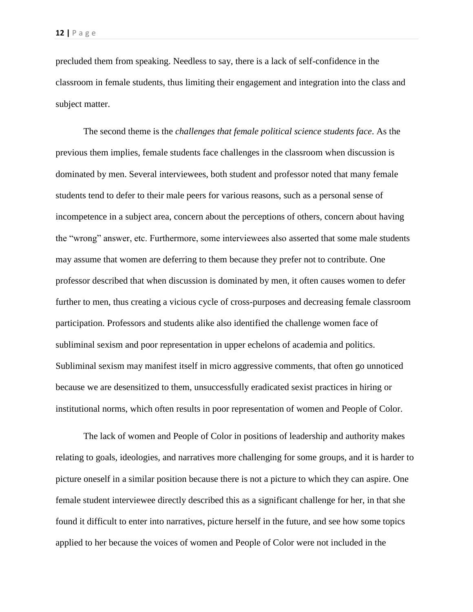precluded them from speaking. Needless to say, there is a lack of self-confidence in the classroom in female students, thus limiting their engagement and integration into the class and subject matter.

The second theme is the *challenges that female political science students face*. As the previous them implies, female students face challenges in the classroom when discussion is dominated by men. Several interviewees, both student and professor noted that many female students tend to defer to their male peers for various reasons, such as a personal sense of incompetence in a subject area, concern about the perceptions of others, concern about having the "wrong" answer, etc. Furthermore, some interviewees also asserted that some male students may assume that women are deferring to them because they prefer not to contribute. One professor described that when discussion is dominated by men, it often causes women to defer further to men, thus creating a vicious cycle of cross-purposes and decreasing female classroom participation. Professors and students alike also identified the challenge women face of subliminal sexism and poor representation in upper echelons of academia and politics. Subliminal sexism may manifest itself in micro aggressive comments, that often go unnoticed because we are desensitized to them, unsuccessfully eradicated sexist practices in hiring or institutional norms, which often results in poor representation of women and People of Color.

The lack of women and People of Color in positions of leadership and authority makes relating to goals, ideologies, and narratives more challenging for some groups, and it is harder to picture oneself in a similar position because there is not a picture to which they can aspire. One female student interviewee directly described this as a significant challenge for her, in that she found it difficult to enter into narratives, picture herself in the future, and see how some topics applied to her because the voices of women and People of Color were not included in the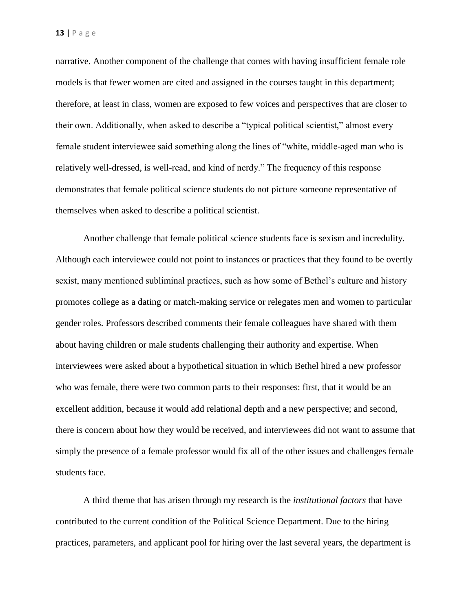narrative. Another component of the challenge that comes with having insufficient female role models is that fewer women are cited and assigned in the courses taught in this department; therefore, at least in class, women are exposed to few voices and perspectives that are closer to their own. Additionally, when asked to describe a "typical political scientist," almost every female student interviewee said something along the lines of "white, middle-aged man who is relatively well-dressed, is well-read, and kind of nerdy." The frequency of this response demonstrates that female political science students do not picture someone representative of themselves when asked to describe a political scientist.

Another challenge that female political science students face is sexism and incredulity. Although each interviewee could not point to instances or practices that they found to be overtly sexist, many mentioned subliminal practices, such as how some of Bethel's culture and history promotes college as a dating or match-making service or relegates men and women to particular gender roles. Professors described comments their female colleagues have shared with them about having children or male students challenging their authority and expertise. When interviewees were asked about a hypothetical situation in which Bethel hired a new professor who was female, there were two common parts to their responses: first, that it would be an excellent addition, because it would add relational depth and a new perspective; and second, there is concern about how they would be received, and interviewees did not want to assume that simply the presence of a female professor would fix all of the other issues and challenges female students face.

A third theme that has arisen through my research is the *institutional factors* that have contributed to the current condition of the Political Science Department. Due to the hiring practices, parameters, and applicant pool for hiring over the last several years, the department is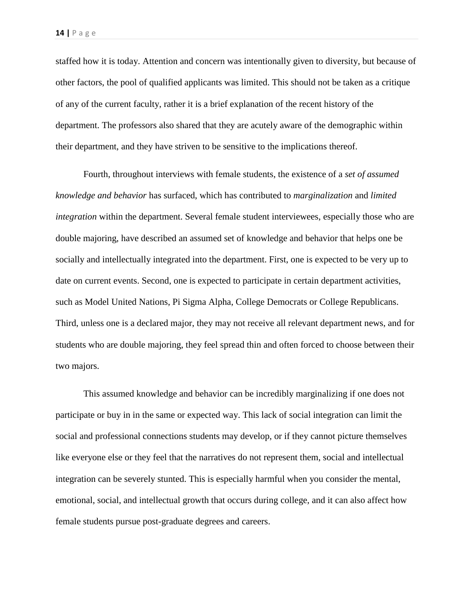staffed how it is today. Attention and concern was intentionally given to diversity, but because of other factors, the pool of qualified applicants was limited. This should not be taken as a critique of any of the current faculty, rather it is a brief explanation of the recent history of the department. The professors also shared that they are acutely aware of the demographic within their department, and they have striven to be sensitive to the implications thereof.

Fourth, throughout interviews with female students, the existence of a *set of assumed knowledge and behavior* has surfaced, which has contributed to *marginalization* and *limited integration* within the department. Several female student interviewees, especially those who are double majoring, have described an assumed set of knowledge and behavior that helps one be socially and intellectually integrated into the department. First, one is expected to be very up to date on current events. Second, one is expected to participate in certain department activities, such as Model United Nations, Pi Sigma Alpha, College Democrats or College Republicans. Third, unless one is a declared major, they may not receive all relevant department news, and for students who are double majoring, they feel spread thin and often forced to choose between their two majors.

This assumed knowledge and behavior can be incredibly marginalizing if one does not participate or buy in in the same or expected way. This lack of social integration can limit the social and professional connections students may develop, or if they cannot picture themselves like everyone else or they feel that the narratives do not represent them, social and intellectual integration can be severely stunted. This is especially harmful when you consider the mental, emotional, social, and intellectual growth that occurs during college, and it can also affect how female students pursue post-graduate degrees and careers.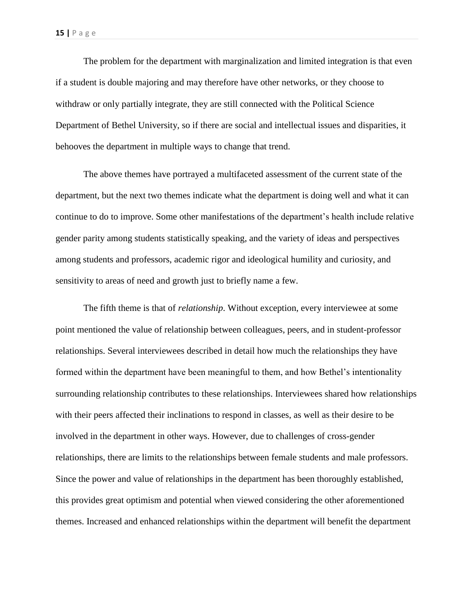The problem for the department with marginalization and limited integration is that even if a student is double majoring and may therefore have other networks, or they choose to withdraw or only partially integrate, they are still connected with the Political Science Department of Bethel University, so if there are social and intellectual issues and disparities, it behooves the department in multiple ways to change that trend.

The above themes have portrayed a multifaceted assessment of the current state of the department, but the next two themes indicate what the department is doing well and what it can continue to do to improve. Some other manifestations of the department's health include relative gender parity among students statistically speaking, and the variety of ideas and perspectives among students and professors, academic rigor and ideological humility and curiosity, and sensitivity to areas of need and growth just to briefly name a few.

The fifth theme is that of *relationship*. Without exception, every interviewee at some point mentioned the value of relationship between colleagues, peers, and in student-professor relationships. Several interviewees described in detail how much the relationships they have formed within the department have been meaningful to them, and how Bethel's intentionality surrounding relationship contributes to these relationships. Interviewees shared how relationships with their peers affected their inclinations to respond in classes, as well as their desire to be involved in the department in other ways. However, due to challenges of cross-gender relationships, there are limits to the relationships between female students and male professors. Since the power and value of relationships in the department has been thoroughly established, this provides great optimism and potential when viewed considering the other aforementioned themes. Increased and enhanced relationships within the department will benefit the department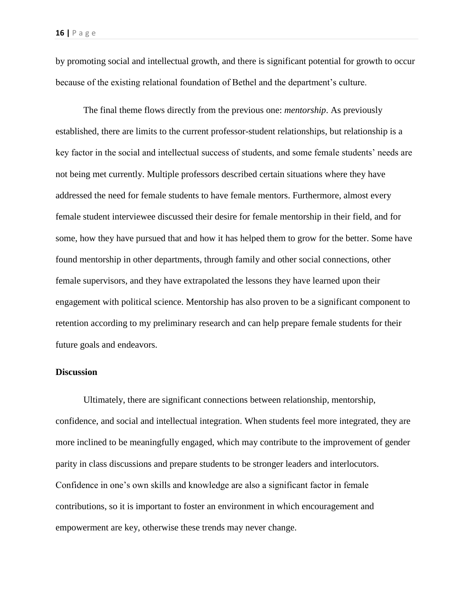by promoting social and intellectual growth, and there is significant potential for growth to occur because of the existing relational foundation of Bethel and the department's culture.

The final theme flows directly from the previous one: *mentorship*. As previously established, there are limits to the current professor-student relationships, but relationship is a key factor in the social and intellectual success of students, and some female students' needs are not being met currently. Multiple professors described certain situations where they have addressed the need for female students to have female mentors. Furthermore, almost every female student interviewee discussed their desire for female mentorship in their field, and for some, how they have pursued that and how it has helped them to grow for the better. Some have found mentorship in other departments, through family and other social connections, other female supervisors, and they have extrapolated the lessons they have learned upon their engagement with political science. Mentorship has also proven to be a significant component to retention according to my preliminary research and can help prepare female students for their future goals and endeavors.

## **Discussion**

Ultimately, there are significant connections between relationship, mentorship, confidence, and social and intellectual integration. When students feel more integrated, they are more inclined to be meaningfully engaged, which may contribute to the improvement of gender parity in class discussions and prepare students to be stronger leaders and interlocutors. Confidence in one's own skills and knowledge are also a significant factor in female contributions, so it is important to foster an environment in which encouragement and empowerment are key, otherwise these trends may never change.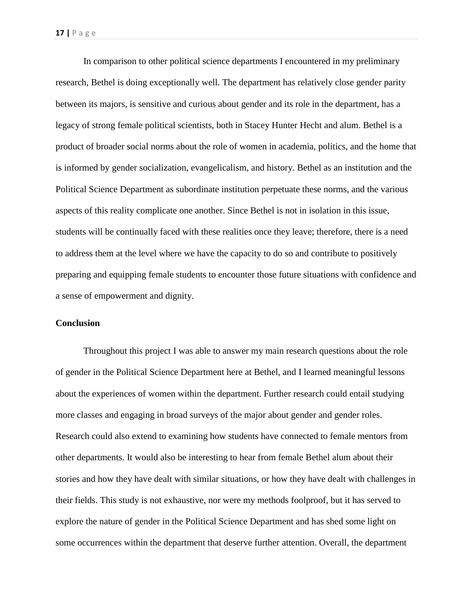In comparison to other political science departments I encountered in my preliminary research, Bethel is doing exceptionally well. The department has relatively close gender parity between its majors, is sensitive and curious about gender and its role in the department, has a legacy of strong female political scientists, both in Stacey Hunter Hecht and alum. Bethel is a product of broader social norms about the role of women in academia, politics, and the home that is informed by gender socialization, evangelicalism, and history. Bethel as an institution and the Political Science Department as subordinate institution perpetuate these norms, and the various aspects of this reality complicate one another. Since Bethel is not in isolation in this issue, students will be continually faced with these realities once they leave; therefore, there is a need to address them at the level where we have the capacity to do so and contribute to positively preparing and equipping female students to encounter those future situations with confidence and a sense of empowerment and dignity.

# **Conclusion**

Throughout this project I was able to answer my main research questions about the role of gender in the Political Science Department here at Bethel, and I learned meaningful lessons about the experiences of women within the department. Further research could entail studying more classes and engaging in broad surveys of the major about gender and gender roles. Research could also extend to examining how students have connected to female mentors from other departments. It would also be interesting to hear from female Bethel alum about their stories and how they have dealt with similar situations, or how they have dealt with challenges in their fields. This study is not exhaustive, nor were my methods foolproof, but it has served to explore the nature of gender in the Political Science Department and has shed some light on some occurrences within the department that deserve further attention. Overall, the department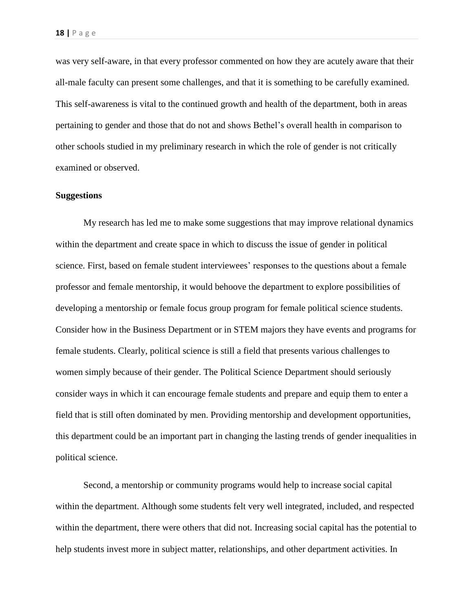was very self-aware, in that every professor commented on how they are acutely aware that their all-male faculty can present some challenges, and that it is something to be carefully examined. This self-awareness is vital to the continued growth and health of the department, both in areas pertaining to gender and those that do not and shows Bethel's overall health in comparison to other schools studied in my preliminary research in which the role of gender is not critically examined or observed.

#### **Suggestions**

My research has led me to make some suggestions that may improve relational dynamics within the department and create space in which to discuss the issue of gender in political science. First, based on female student interviewees' responses to the questions about a female professor and female mentorship, it would behoove the department to explore possibilities of developing a mentorship or female focus group program for female political science students. Consider how in the Business Department or in STEM majors they have events and programs for female students. Clearly, political science is still a field that presents various challenges to women simply because of their gender. The Political Science Department should seriously consider ways in which it can encourage female students and prepare and equip them to enter a field that is still often dominated by men. Providing mentorship and development opportunities, this department could be an important part in changing the lasting trends of gender inequalities in political science.

Second, a mentorship or community programs would help to increase social capital within the department. Although some students felt very well integrated, included, and respected within the department, there were others that did not. Increasing social capital has the potential to help students invest more in subject matter, relationships, and other department activities. In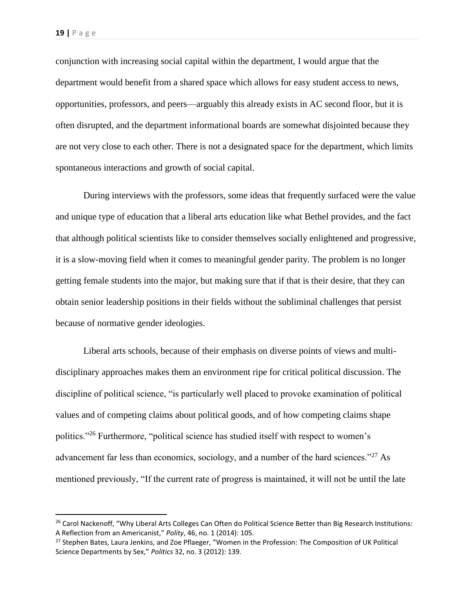$\overline{\phantom{a}}$ 

conjunction with increasing social capital within the department, I would argue that the department would benefit from a shared space which allows for easy student access to news, opportunities, professors, and peers—arguably this already exists in AC second floor, but it is often disrupted, and the department informational boards are somewhat disjointed because they are not very close to each other. There is not a designated space for the department, which limits spontaneous interactions and growth of social capital.

During interviews with the professors, some ideas that frequently surfaced were the value and unique type of education that a liberal arts education like what Bethel provides, and the fact that although political scientists like to consider themselves socially enlightened and progressive, it is a slow-moving field when it comes to meaningful gender parity. The problem is no longer getting female students into the major, but making sure that if that is their desire, that they can obtain senior leadership positions in their fields without the subliminal challenges that persist because of normative gender ideologies.

Liberal arts schools, because of their emphasis on diverse points of views and multidisciplinary approaches makes them an environment ripe for critical political discussion. The discipline of political science, "is particularly well placed to provoke examination of political values and of competing claims about political goods, and of how competing claims shape politics."<sup>26</sup> Furthermore, "political science has studied itself with respect to women's advancement far less than economics, sociology, and a number of the hard sciences."<sup>27</sup> As mentioned previously, "If the current rate of progress is maintained, it will not be until the late

<sup>&</sup>lt;sup>26</sup> Carol Nackenoff, "Why Liberal Arts Colleges Can Often do Political Science Better than Big Research Institutions: A Reflection from an Americanist," *Polity*, 46, no. 1 (2014): 105.

<sup>&</sup>lt;sup>27</sup> Stephen Bates, Laura Jenkins, and Zoe Pflaeger, "Women in the Profession: The Composition of UK Political Science Departments by Sex," *Politics* 32, no. 3 (2012): 139.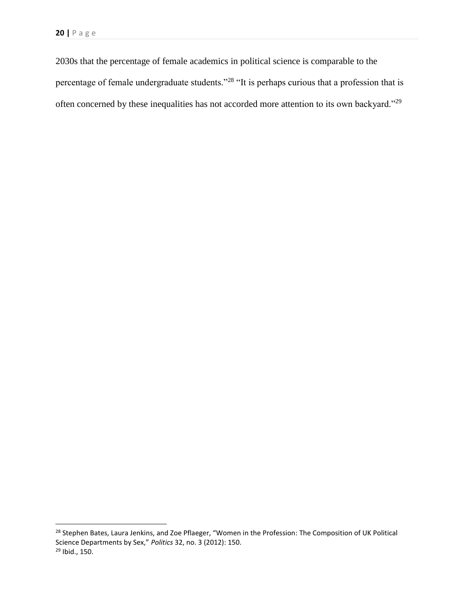$\overline{a}$ 

2030s that the percentage of female academics in political science is comparable to the percentage of female undergraduate students."<sup>28</sup> "It is perhaps curious that a profession that is often concerned by these inequalities has not accorded more attention to its own backyard."<sup>29</sup>

<sup>&</sup>lt;sup>28</sup> Stephen Bates, Laura Jenkins, and Zoe Pflaeger, "Women in the Profession: The Composition of UK Political Science Departments by Sex," *Politics* 32, no. 3 (2012): 150. <sup>29</sup> Ibid., 150.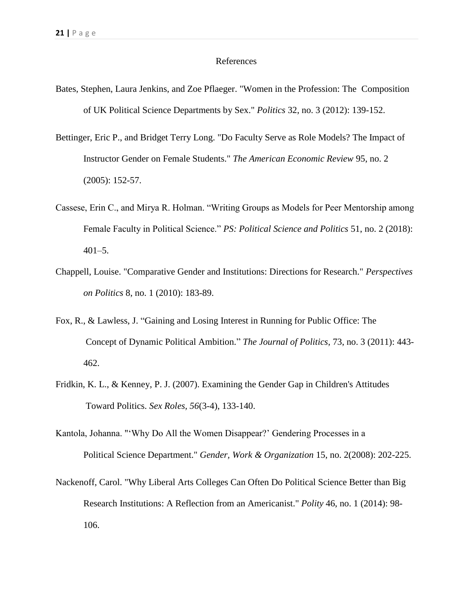#### References

- Bates, Stephen, Laura Jenkins, and Zoe Pflaeger. "Women in the Profession: The Composition of UK Political Science Departments by Sex." *Politics* 32, no. 3 (2012): 139-152.
- Bettinger, Eric P., and Bridget Terry Long. "Do Faculty Serve as Role Models? The Impact of Instructor Gender on Female Students." *The American Economic Review* 95, no. 2 (2005): 152-57.
- Cassese, Erin C., and Mirya R. Holman. "Writing Groups as Models for Peer Mentorship among Female Faculty in Political Science." *PS: Political Science and Politics* 51, no. 2 (2018): 401–5.
- Chappell, Louise. "Comparative Gender and Institutions: Directions for Research." *Perspectives on Politics* 8, no. 1 (2010): 183-89.
- Fox, R., & Lawless, J. "Gaining and Losing Interest in Running for Public Office: The Concept of Dynamic Political Ambition." *The Journal of Politics*, 73, no. 3 (2011): 443- 462.
- Fridkin, K. L., & Kenney, P. J. (2007). Examining the Gender Gap in Children's Attitudes Toward Politics. *Sex Roles, 56*(3-4), 133-140.
- Kantola, Johanna. "'Why Do All the Women Disappear?' Gendering Processes in a Political Science Department." *Gender, Work & Organization* 15, no. 2(2008): 202-225.
- Nackenoff, Carol. "Why Liberal Arts Colleges Can Often Do Political Science Better than Big Research Institutions: A Reflection from an Americanist." *Polity* 46, no. 1 (2014): 98- 106.